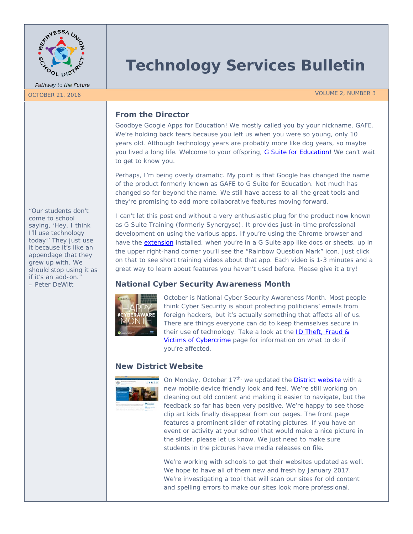

Pathway to the Future

# **Technology Services Bulletin**

OCTOBER 21, 2016 No. 2008 No. 2008 No. 2008 No. 2008 No. 2008 No. 2008 No. 2008 No. 2008 No. 2008 No. 2008 No. 2008 No. 2008 No. 2008 No. 2008 No. 2008 No. 2008 No. 2008 No. 2008 No. 2008 No. 2008 No. 2008 No. 2008 No. 200

## **From the Director**

Goodbye Google Apps for Education! We mostly called you by your nickname, GAFE. We're holding back tears because you left us when you were so young, only 10 years old. Although technology years are probably more like dog years, so maybe you lived a long life. Welcome to your offspring, [G Suite for Education!](https://blog.google/topics/education/introducing-g-suite-education/) We can't wait to get to know you.

Perhaps, I'm being overly dramatic. My point is that Google has changed the name of the product formerly known as GAFE to G Suite for Education. Not much has changed so far beyond the name. We still have access to all the great tools and they're promising to add more collaborative features moving forward.

I can't let this post end without a very enthusiastic plug for the product now known as G Suite Training (formerly Synergyse). It provides just-in-time professional development on using the various apps. If you're using the Chrome browser and have the [extension](https://chrome.google.com/webstore/detail/g-suite-training/idkloemkmldbemijiamdiolojbffnjlh) installed, when you're in a G Suite app like docs or sheets, up in the upper right-hand corner you'll see the "Rainbow Question Mark" icon. Just click on that to see short training videos about that app. Each video is 1-3 minutes and a great way to learn about features you haven't used before. Please give it a try!

# **National Cyber Security Awareness Month**



October is National Cyber Security Awareness Month. Most people think Cyber Security is about protecting politicians' emails from foreign hackers, but it's actually something that affects all of us. There are things everyone can do to keep themselves secure in their use of technology. Take a look at the **ID Theft, Fraud &** [Victims of Cybercrime](https://staysafeonline.org/stay-safe-online/protect-your-personal-information/id-theft-and-fraud) page for information on what to do if you're affected.

## **New District Website**



On Monday, October  $17^{th}$ , we updated the [District website](http://www.berryessa.k12.ca.us/) with a new mobile device friendly look and feel. We're still working on cleaning out old content and making it easier to navigate, but the feedback so far has been very positive. We're happy to see those clip art kids finally disappear from our pages. The front page features a prominent slider of rotating pictures. If you have an event or activity at your school that would make a nice picture in the slider, please let us know. We just need to make sure students in the pictures have media releases on file.

We're working with schools to get their websites updated as well. We hope to have all of them new and fresh by January 2017. We're investigating a tool that will scan our sites for old content and spelling errors to make our sites look more professional.

*"Our students don't come to school saying, 'Hey, I think I'll use technology today!' They just use it because it's like an appendage that they grew up with. We should stop using it as if it's an add-on." – Peter DeWitt*